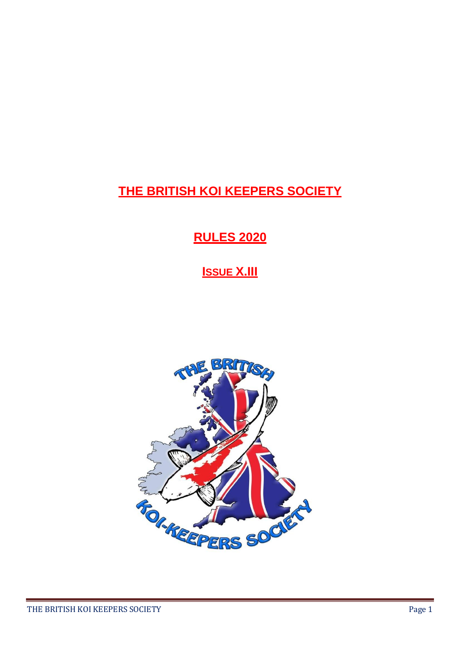# **THE BRITISH KOI KEEPERS SOCIETY**

# **RULES 2020**

# **ISSUE X.III**

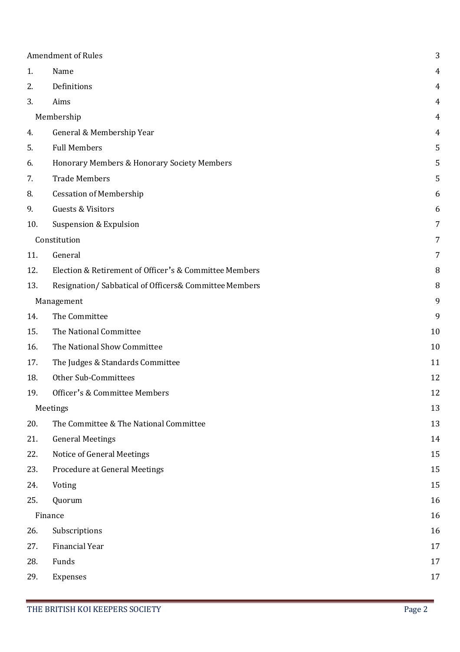| <b>Amendment of Rules</b> |                                                        | 3  |
|---------------------------|--------------------------------------------------------|----|
| 1.                        | Name                                                   | 4  |
| 2.                        | Definitions                                            | 4  |
| 3.                        | Aims                                                   | 4  |
|                           | Membership                                             | 4  |
| 4.                        | General & Membership Year                              | 4  |
| 5.                        | <b>Full Members</b>                                    | 5  |
| 6.                        | Honorary Members & Honorary Society Members            | 5  |
| 7.                        | <b>Trade Members</b>                                   | 5  |
| 8.                        | <b>Cessation of Membership</b>                         | 6  |
| 9.                        | <b>Guests &amp; Visitors</b>                           | 6  |
| 10.                       | <b>Suspension &amp; Expulsion</b>                      | 7  |
|                           | Constitution                                           | 7  |
| 11.                       | General                                                | 7  |
| 12.                       | Election & Retirement of Officer's & Committee Members | 8  |
| 13.                       | Resignation/Sabbatical of Officers& Committee Members  | 8  |
| Management                |                                                        | 9  |
| 14.                       | The Committee                                          | 9  |
| 15.                       | The National Committee                                 | 10 |
| 16.                       | The National Show Committee                            | 10 |
| 17.                       | The Judges & Standards Committee                       | 11 |
| 18.                       | Other Sub-Committees                                   | 12 |
| 19.                       | Officer's & Committee Members                          | 12 |
| Meetings                  |                                                        | 13 |
| 20.                       | The Committee & The National Committee                 | 13 |
| 21.                       | <b>General Meetings</b>                                | 14 |
| 22.                       | Notice of General Meetings                             | 15 |
| 23.                       | Procedure at General Meetings                          | 15 |
| 24.                       | Voting                                                 | 15 |
| 25.                       | Quorum                                                 | 16 |
| Finance                   |                                                        | 16 |
| 26.                       | Subscriptions                                          | 16 |
| 27.                       | Financial Year                                         | 17 |
| 28.                       | Funds                                                  | 17 |
| 29.                       | Expenses                                               | 17 |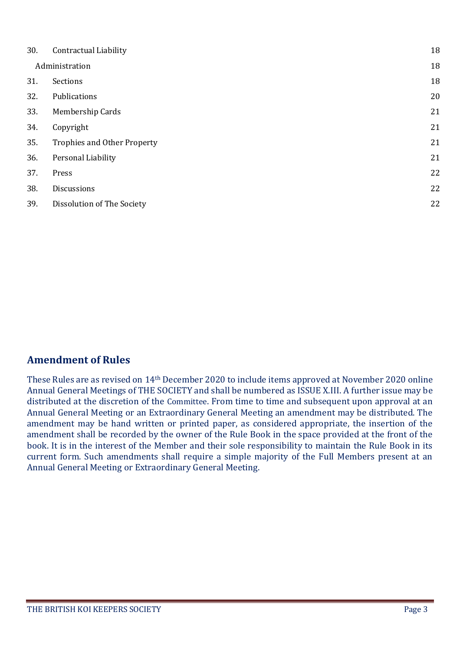| 30.            | <b>Contractual Liability</b>       | 18 |
|----------------|------------------------------------|----|
| Administration |                                    | 18 |
| 31.            | Sections                           | 18 |
| 32.            | Publications                       | 20 |
| 33.            | Membership Cards                   | 21 |
| 34.            | Copyright                          | 21 |
| 35.            | <b>Trophies and Other Property</b> | 21 |
| 36.            | Personal Liability                 | 21 |
| 37.            | Press                              | 22 |
| 38.            | Discussions                        | 22 |
| 39.            | Dissolution of The Society         | 22 |
|                |                                    |    |

#### <span id="page-2-0"></span>**Amendment of Rules**

These Rules are as revised on 14th December 2020 to include items approved at November 2020 online Annual General Meetings of THE SOCIETY and shall be numbered as ISSUE X.III. A further issue may be distributed at the discretion of the Committee. From time to time and subsequent upon approval at an Annual General Meeting or an Extraordinary General Meeting an amendment may be distributed. The amendment may be hand written or printed paper, as considered appropriate, the insertion of the amendment shall be recorded by the owner of the Rule Book in the space provided at the front of the book. It is in the interest of the Member and their sole responsibility to maintain the Rule Book in its current form. Such amendments shall require a simple majority of the Full Members present at an Annual General Meeting or Extraordinary General Meeting.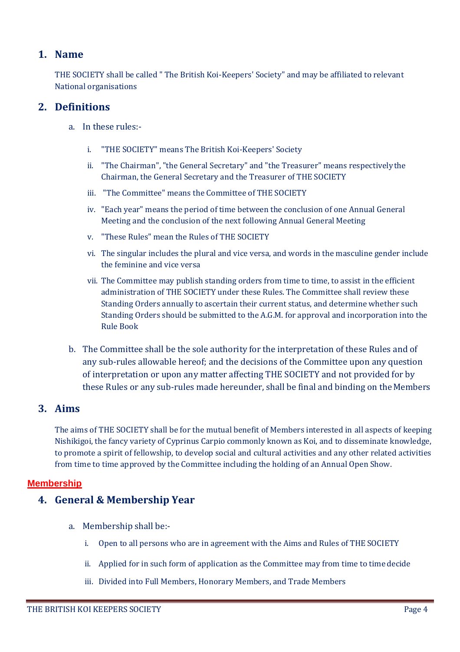#### <span id="page-3-0"></span>**1. Name**

THE SOCIETY shall be called " The British Koi-Keepers' Society" and may be affiliated to relevant National organisations

#### <span id="page-3-1"></span>**2. Definitions**

- a. In these rules:
	- i. "THE SOCIETY" means The British Koi-Keepers' Society
	- ii. "The Chairman", "the General Secretary" and "the Treasurer" means respectivelythe Chairman, the General Secretary and the Treasurer of THE SOCIETY
	- iii. "The Committee" means the Committee of THE SOCIETY
	- iv. "Each year" means the period of time between the conclusion of one Annual General Meeting and the conclusion of the next following Annual General Meeting
	- v. "These Rules" mean the Rules of THE SOCIETY
	- vi. The singular includes the plural and vice versa, and words in the masculine gender include the feminine and vice versa
	- vii. The Committee may publish standing orders from time to time, to assist in the efficient administration of THE SOCIETY under these Rules. The Committee shall review these Standing Orders annually to ascertain their current status, and determine whether such Standing Orders should be submitted to the A.G.M. for approval and incorporation into the Rule Book
- b. The Committee shall be the sole authority for the interpretation of these Rules and of any sub-rules allowable hereof; and the decisions of the Committee upon any question of interpretation or upon any matter affecting THE SOCIETY and not provided for by these Rules or any sub-rules made hereunder, shall be final and binding on theMembers

## <span id="page-3-2"></span>**3. Aims**

The aims of THE SOCIETY shall be for the mutual benefit of Members interested in all aspects of keeping Nishikigoi, the fancy variety of Cyprinus Carpio commonly known as Koi, and to disseminate knowledge, to promote a spirit of fellowship, to develop social and cultural activities and any other related activities from time to time approved by the Committee including the holding of an Annual Open Show.

#### <span id="page-3-4"></span><span id="page-3-3"></span>**Membership**

#### **4. General & Membership Year**

- a. Membership shall be:
	- i. Open to all persons who are in agreement with the Aims and Rules of THE SOCIETY
	- ii. Applied for in such form of application as the Committee may from time to time decide
	- iii. Divided into Full Members, Honorary Members, and Trade Members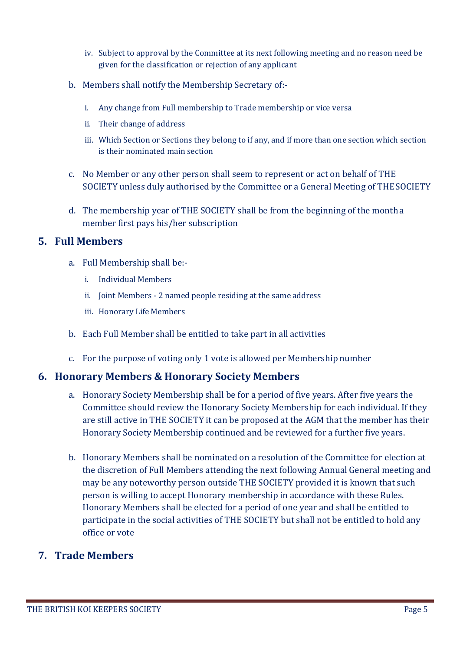- iv. Subject to approval by the Committee at its next following meeting and no reason need be given for the classification or rejection of any applicant
- b. Members shall notify the Membership Secretary of:
	- i. Any change from Full membership to Trade membership or vice versa
	- ii. Their change of address
	- iii. Which Section or Sections they belong to if any, and if more than one section which section is their nominated main section
- c. No Member or any other person shall seem to represent or act on behalf of THE SOCIETY unless duly authorised by the Committee or a General Meeting of THESOCIETY
- d. The membership year of THE SOCIETY shall be from the beginning of the montha member first pays his/her subscription

#### <span id="page-4-0"></span>**5. Full Members**

- a. Full Membership shall be:
	- i. Individual Members
	- ii. Joint Members 2 named people residing at the same address
	- iii. Honorary Life Members
- b. Each Full Member shall be entitled to take part in all activities
- c. For the purpose of voting only 1 vote is allowed per Membership number

#### <span id="page-4-1"></span>**6. Honorary Members & Honorary Society Members**

- a. Honorary Society Membership shall be for a period of five years. After five years the Committee should review the Honorary Society Membership for each individual. If they are still active in THE SOCIETY it can be proposed at the AGM that the member has their Honorary Society Membership continued and be reviewed for a further five years.
- b. Honorary Members shall be nominated on a resolution of the Committee for election at the discretion of Full Members attending the next following Annual General meeting and may be any noteworthy person outside THE SOCIETY provided it is known that such person is willing to accept Honorary membership in accordance with these Rules. Honorary Members shall be elected for a period of one year and shall be entitled to participate in the social activities of THE SOCIETY but shall not be entitled to hold any office or vote

#### <span id="page-4-2"></span>**7. Trade Members**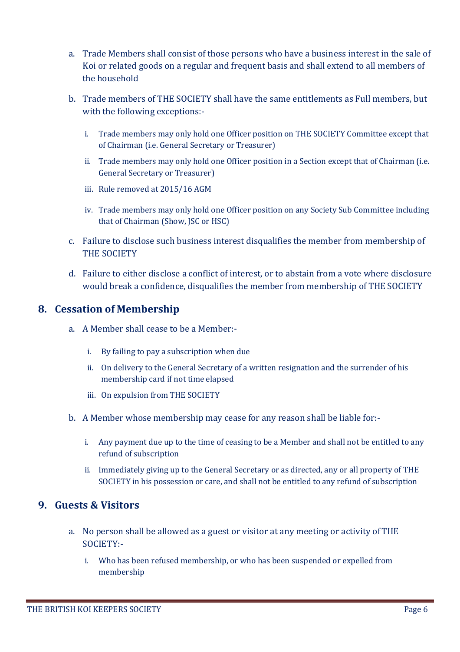- a. Trade Members shall consist of those persons who have a business interest in the sale of Koi or related goods on a regular and frequent basis and shall extend to all members of the household
- b. Trade members of THE SOCIETY shall have the same entitlements as Full members, but with the following exceptions:
	- i. Trade members may only hold one Officer position on THE SOCIETY Committee except that of Chairman (i.e. General Secretary or Treasurer)
	- ii. Trade members may only hold one Officer position in a Section except that of Chairman (i.e. General Secretary or Treasurer)
	- iii. Rule removed at 2015/16 AGM
	- iv. Trade members may only hold one Officer position on any Society Sub Committee including that of Chairman (Show, JSC or HSC)
- c. Failure to disclose such business interest disqualifies the member from membership of THE SOCIETY
- d. Failure to either disclose a conflict of interest, or to abstain from a vote where disclosure would break a confidence, disqualifies the member from membership of THE SOCIETY

#### <span id="page-5-0"></span>**8. Cessation of Membership**

- a. A Member shall cease to be a Member:
	- i. By failing to pay a subscription when due
	- ii. On delivery to the General Secretary of a written resignation and the surrender of his membership card if not time elapsed
	- iii. On expulsion from THE SOCIETY
- b. A Member whose membership may cease for any reason shall be liable for:
	- i. Any payment due up to the time of ceasing to be a Member and shall not be entitled to any refund of subscription
	- ii. Immediately giving up to the General Secretary or as directed, any or all property of THE SOCIETY in his possession or care, and shall not be entitled to any refund of subscription

#### <span id="page-5-1"></span>**9. Guests & Visitors**

- a. No person shall be allowed as a guest or visitor at any meeting or activity ofTHE SOCIETY:
	- i. Who has been refused membership, or who has been suspended or expelled from membership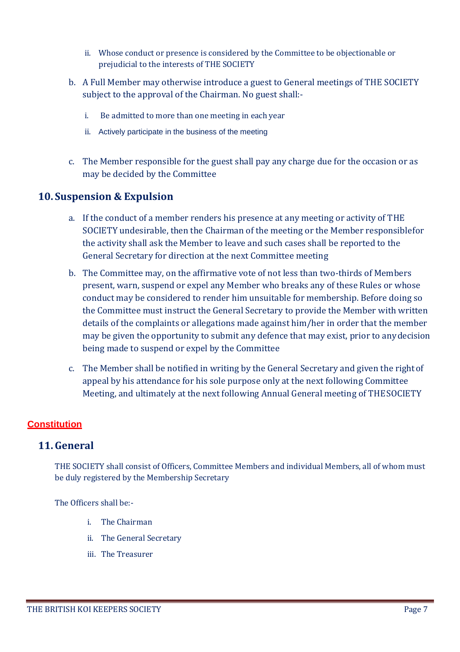- ii. Whose conduct or presence is considered by the Committee to be objectionable or prejudicial to the interests of THE SOCIETY
- b. A Full Member may otherwise introduce a guest to General meetings of THE SOCIETY subject to the approval of the Chairman. No guest shall:
	- i. Be admitted to more than one meeting in each year
	- ii. Actively participate in the business of the meeting
- c. The Member responsible for the guest shall pay any charge due for the occasion or as may be decided by the Committee

#### <span id="page-6-0"></span>**10. Suspension & Expulsion**

- a. If the conduct of a member renders his presence at any meeting or activity of THE SOCIETY undesirable, then the Chairman of the meeting or the Member responsiblefor the activity shall ask the Member to leave and such cases shall be reported to the General Secretary for direction at the next Committee meeting
- b. The Committee may, on the affirmative vote of not less than two-thirds of Members present, warn, suspend or expel any Member who breaks any of these Rules or whose conduct may be considered to render him unsuitable for membership. Before doing so the Committee must instruct the General Secretary to provide the Member with written details of the complaints or allegations made against him/her in order that the member may be given the opportunity to submit any defence that may exist, prior to anydecision being made to suspend or expel by the Committee
- c. The Member shall be notified in writing by the General Secretary and given the rightof appeal by his attendance for his sole purpose only at the next following Committee Meeting, and ultimately at the next following Annual General meeting of THESOCIETY

## <span id="page-6-1"></span>**Constitution**

#### <span id="page-6-2"></span>**11.General**

THE SOCIETY shall consist of Officers, Committee Members and individual Members, all of whom must be duly registered by the Membership Secretary

The Officers shall be:-

- i. The Chairman
- ii. The General Secretary
- iii. The Treasurer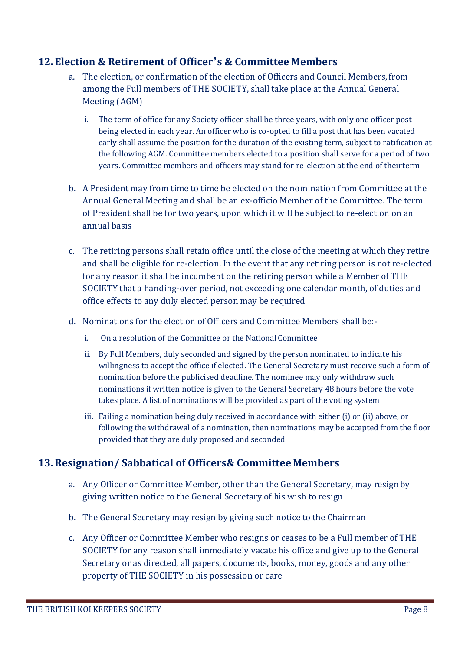#### <span id="page-7-0"></span>**12. Election & Retirement of Officer's & Committee Members**

- a. The election, or confirmation of the election of Officers and Council Members,from among the Full members of THE SOCIETY, shall take place at the Annual General Meeting (AGM)
	- i. The term of office for any Society officer shall be three years, with only one officer post being elected in each year. An officer who is co-opted to fill a post that has been vacated early shall assume the position for the duration of the existing term, subject to ratification at the following AGM. Committee members elected to a position shall serve for a period of two years. Committee members and officers may stand for re-election at the end of theirterm
- b. A President may from time to time be elected on the nomination from Committee at the Annual General Meeting and shall be an ex-officio Member of the Committee. The term of President shall be for two years, upon which it will be subject to re-election on an annual basis
- c. The retiring persons shall retain office until the close of the meeting at which they retire and shall be eligible for re-election. In the event that any retiring person is not re-elected for any reason it shall be incumbent on the retiring person while a Member of THE SOCIETY that a handing-over period, not exceeding one calendar month, of duties and office effects to any duly elected person may be required
- d. Nominations for the election of Officers and Committee Members shall be:
	- i. On a resolution of the Committee or the National Committee
	- ii. By Full Members, duly seconded and signed by the person nominated to indicate his willingness to accept the office if elected. The General Secretary must receive such a form of nomination before the publicised deadline. The nominee may only withdraw such nominations if written notice is given to the General Secretary 48 hours before the vote takes place. A list of nominations will be provided as part of the voting system
	- iii. Failing a nomination being duly received in accordance with either (i) or (ii) above, or following the withdrawal of a nomination, then nominations may be accepted from the floor provided that they are duly proposed and seconded

## <span id="page-7-1"></span>**13.Resignation/ Sabbatical of Officers& Committee Members**

- a. Any Officer or Committee Member, other than the General Secretary, may resignby giving written notice to the General Secretary of his wish to resign
- b. The General Secretary may resign by giving such notice to the Chairman
- c. Any Officer or Committee Member who resigns or ceases to be a Full member of THE SOCIETY for any reason shall immediately vacate his office and give up to the General Secretary or as directed, all papers, documents, books, money, goods and any other property of THE SOCIETY in his possession or care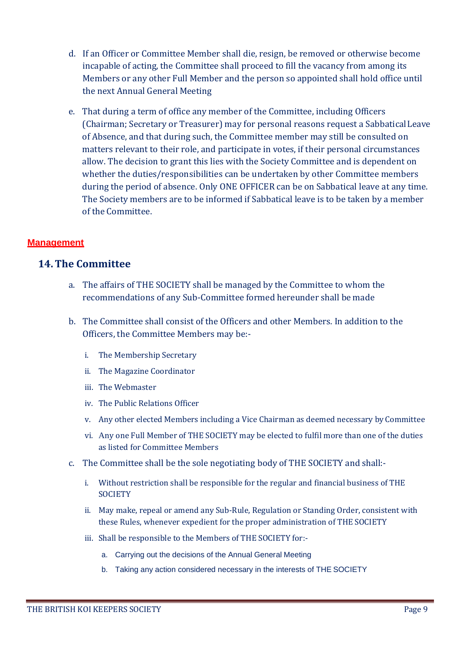- d. If an Officer or Committee Member shall die, resign, be removed or otherwise become incapable of acting, the Committee shall proceed to fill the vacancy from among its Members or any other Full Member and the person so appointed shall hold office until the next Annual General Meeting
- e. That during a term of office any member of the Committee, including Officers (Chairman; Secretary or Treasurer) may for personal reasons request a SabbaticalLeave of Absence, and that during such, the Committee member may still be consulted on matters relevant to their role, and participate in votes, if their personal circumstances allow. The decision to grant this lies with the Society Committee and is dependent on whether the duties/responsibilities can be undertaken by other Committee members during the period of absence. Only ONE OFFICER can be on Sabbatical leave at any time. The Society members are to be informed if Sabbatical leave is to be taken by a member of the Committee.

#### <span id="page-8-0"></span>**Management**

#### <span id="page-8-1"></span>**14.The Committee**

- a. The affairs of THE SOCIETY shall be managed by the Committee to whom the recommendations of any Sub-Committee formed hereunder shall be made
- b. The Committee shall consist of the Officers and other Members. In addition to the Officers, the Committee Members may be:
	- i. The Membership Secretary
	- ii. The Magazine Coordinator
	- iii. The Webmaster
	- iv. The Public Relations Officer
	- v. Any other elected Members including a Vice Chairman as deemed necessary by Committee
	- vi. Any one Full Member of THE SOCIETY may be elected to fulfil more than one of the duties as listed for Committee Members
- c. The Committee shall be the sole negotiating body of THE SOCIETY and shall:
	- i. Without restriction shall be responsible for the regular and financial business of THE **SOCIETY**
	- ii. May make, repeal or amend any Sub-Rule, Regulation or Standing Order, consistent with these Rules, whenever expedient for the proper administration of THE SOCIETY
	- iii. Shall be responsible to the Members of THE SOCIETY for:
		- a. Carrying out the decisions of the Annual General Meeting
		- b. Taking any action considered necessary in the interests of THE SOCIETY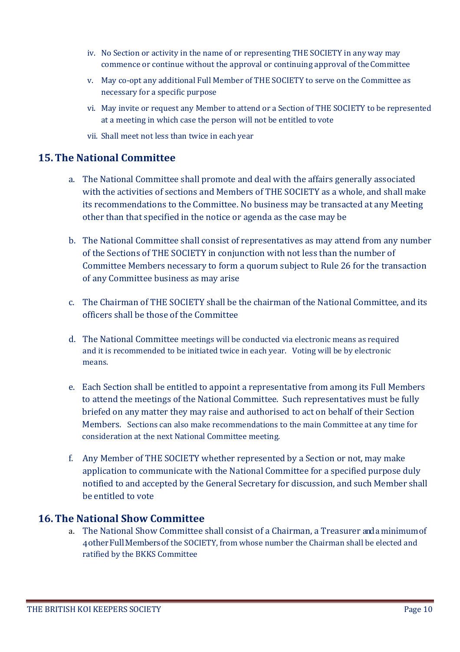- iv. No Section or activity in the name of or representing THE SOCIETY in any way may commence or continue without the approval or continuing approval of theCommittee
- v. May co-opt any additional Full Member of THE SOCIETY to serve on the Committee as necessary for a specific purpose
- vi. May invite or request any Member to attend or a Section of THE SOCIETY to be represented at a meeting in which case the person will not be entitled to vote
- vii. Shall meet not less than twice in each year

#### <span id="page-9-0"></span>**15.The National Committee**

- a. The National Committee shall promote and deal with the affairs generally associated with the activities of sections and Members of THE SOCIETY as a whole, and shall make its recommendations to the Committee. No business may be transacted at any Meeting other than that specified in the notice or agenda as the case may be
- b. The National Committee shall consist of representatives as may attend from any number of the Sections of THE SOCIETY in conjunction with not less than the number of Committee Members necessary to form a quorum subject to Rule 26 for the transaction of any Committee business as may arise
- c. The Chairman of THE SOCIETY shall be the chairman of the National Committee, and its officers shall be those of the Committee
- d. The National Committee meetings will be conducted via electronic means as required and it is recommended to be initiated twice in each year. Voting will be by electronic means.
- e. Each Section shall be entitled to appoint a representative from among its Full Members to attend the meetings of the National Committee. Such representatives must be fully briefed on any matter they may raise and authorised to act on behalf of their Section Members. Sections can also make recommendations to the main Committee at any time for consideration at the next National Committee meeting.
- f. Any Member of THE SOCIETY whether represented by a Section or not, may make application to communicate with the National Committee for a specified purpose duly notified to and accepted by the General Secretary for discussion, and such Member shall be entitled to vote

#### <span id="page-9-1"></span>**16.The National Show Committee**

a. The National Show Committee shall consist of a Chairman, a Treasurer anda minimumof 4otherFullMembersof the SOCIETY, from whose number the Chairman shall be elected and ratified by the BKKS Committee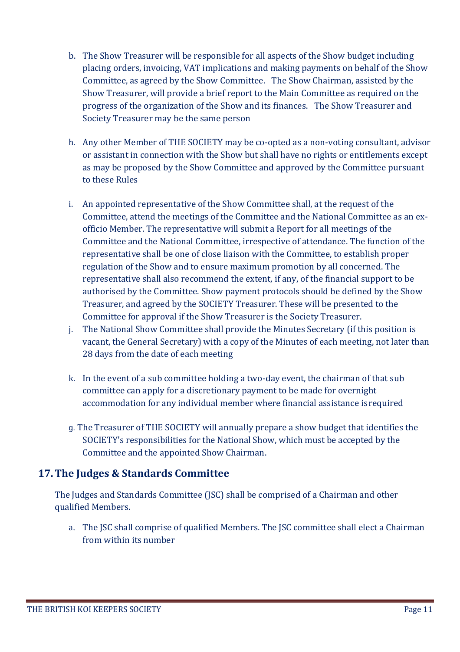- b. The Show Treasurer will be responsible for all aspects of the Show budget including placing orders, invoicing, VAT implications and making payments on behalf of the Show Committee, as agreed by the Show Committee. The Show Chairman, assisted by the Show Treasurer, will provide a brief report to the Main Committee as required on the progress of the organization of the Show and its finances. The Show Treasurer and Society Treasurer may be the same person
- h. Any other Member of THE SOCIETY may be co-opted as a non-voting consultant, advisor or assistant in connection with the Show but shall have no rights or entitlements except as may be proposed by the Show Committee and approved by the Committee pursuant to these Rules
- i. An appointed representative of the Show Committee shall, at the request of the Committee, attend the meetings of the Committee and the National Committee as an exofficio Member. The representative will submit a Report for all meetings of the Committee and the National Committee, irrespective of attendance. The function of the representative shall be one of close liaison with the Committee, to establish proper regulation of the Show and to ensure maximum promotion by all concerned. The representative shall also recommend the extent, if any, of the financial support to be authorised by the Committee. Show payment protocols should be defined by the Show Treasurer, and agreed by the SOCIETY Treasurer. These will be presented to the Committee for approval if the Show Treasurer is the Society Treasurer.
- j. The National Show Committee shall provide the Minutes Secretary (if this position is vacant, the General Secretary) with a copy of the Minutes of each meeting, not later than 28 days from the date of each meeting
- k. In the event of a sub committee holding a two-day event, the chairman of that sub committee can apply for a discretionary payment to be made for overnight accommodation for any individual member where financial assistance isrequired
- g. The Treasurer of THE SOCIETY will annually prepare a show budget that identifies the SOCIETY's responsibilities for the National Show, which must be accepted by the Committee and the appointed Show Chairman.

# <span id="page-10-0"></span>**17.The Judges & Standards Committee**

The Judges and Standards Committee (JSC) shall be comprised of a Chairman and other qualified Members.

a. The JSC shall comprise of qualified Members. The JSC committee shall elect a Chairman from within its number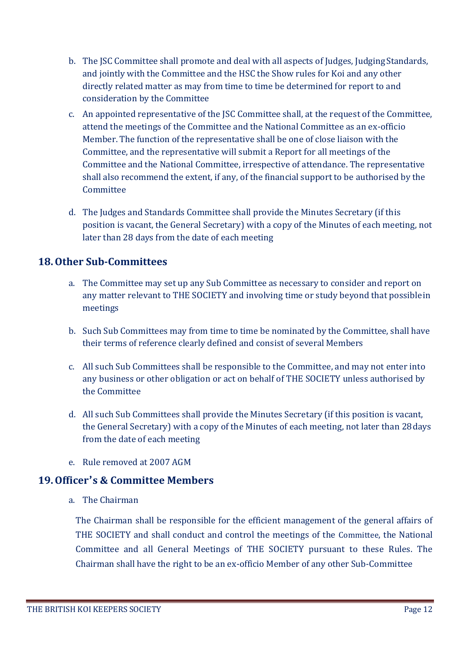- b. The JSC Committee shall promote and deal with all aspects of Judges, JudgingStandards, and jointly with the Committee and the HSC the Show rules for Koi and any other directly related matter as may from time to time be determined for report to and consideration by the Committee
- c. An appointed representative of the JSC Committee shall, at the request of the Committee, attend the meetings of the Committee and the National Committee as an ex-officio Member. The function of the representative shall be one of close liaison with the Committee, and the representative will submit a Report for all meetings of the Committee and the National Committee, irrespective of attendance. The representative shall also recommend the extent, if any, of the financial support to be authorised by the **Committee**
- d. The Judges and Standards Committee shall provide the Minutes Secretary (if this position is vacant, the General Secretary) with a copy of the Minutes of each meeting, not later than 28 days from the date of each meeting

## <span id="page-11-0"></span>**18.Other Sub-Committees**

- a. The Committee may set up any Sub Committee as necessary to consider and report on any matter relevant to THE SOCIETY and involving time or study beyond that possiblein meetings
- b. Such Sub Committees may from time to time be nominated by the Committee, shall have their terms of reference clearly defined and consist of several Members
- c. All such Sub Committees shall be responsible to the Committee, and may not enter into any business or other obligation or act on behalf of THE SOCIETY unless authorised by the Committee
- d. All such Sub Committees shall provide the Minutes Secretary (if this position is vacant, the General Secretary) with a copy of the Minutes of each meeting, not later than 28days from the date of each meeting
- e. Rule removed at 2007 AGM

## <span id="page-11-1"></span>**19.Officer's & Committee Members**

a. The Chairman

The Chairman shall be responsible for the efficient management of the general affairs of THE SOCIETY and shall conduct and control the meetings of the Committee, the National Committee and all General Meetings of THE SOCIETY pursuant to these Rules. The Chairman shall have the right to be an ex-officio Member of any other Sub-Committee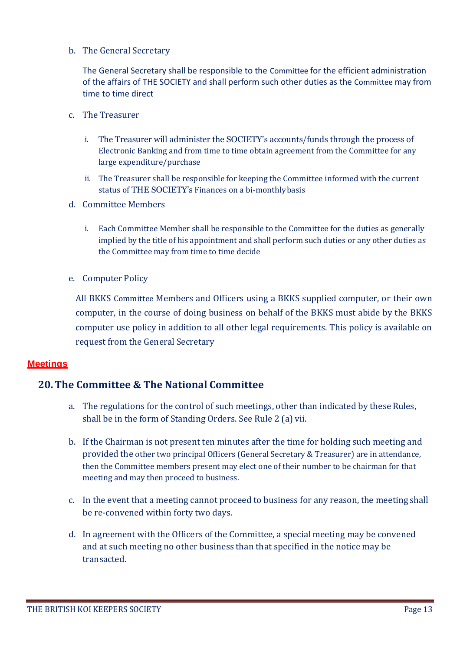b. The General Secretary

The General Secretary shall be responsible to the Committee for the efficient administration of the affairs of THE SOCIETY and shall perform such other duties as the Committee may from time to time direct

- c. The Treasurer
	- i. The Treasurer will administer the SOCIETY's accounts/funds through the process of Electronic Banking and from time to time obtain agreement from the Committee for any large expenditure/purchase
	- ii. The Treasurer shall be responsible for keeping the Committee informed with the current status of THE SOCIETY's Finances on a bi-monthlybasis
- d. Committee Members
	- i. Each Committee Member shall be responsible to the Committee for the duties as generally implied by the title of his appointment and shall perform such duties or any other duties as the Committee may from time to time decide
- e. Computer Policy

All BKKS Committee Members and Officers using a BKKS supplied computer, or their own computer, in the course of doing business on behalf of the BKKS must abide by the BKKS computer use policy in addition to all other legal requirements. This policy is available on request from the General Secretary

#### <span id="page-12-0"></span>**Meetings**

#### <span id="page-12-1"></span>**20.The Committee & The National Committee**

- a. The regulations for the control of such meetings, other than indicated by these Rules, shall be in the form of Standing Orders. See Rule 2 (a) vii.
- b. If the Chairman is not present ten minutes after the time for holding such meeting and provided the other two principal Officers (General Secretary & Treasurer) are in attendance, then the Committee members present may elect one of their number to be chairman for that meeting and may then proceed to business.
- c. In the event that a meeting cannot proceed to business for any reason, the meeting shall be re-convened within forty two days.
- d. In agreement with the Officers of the Committee, a special meeting may be convened and at such meeting no other business than that specified in the notice may be transacted.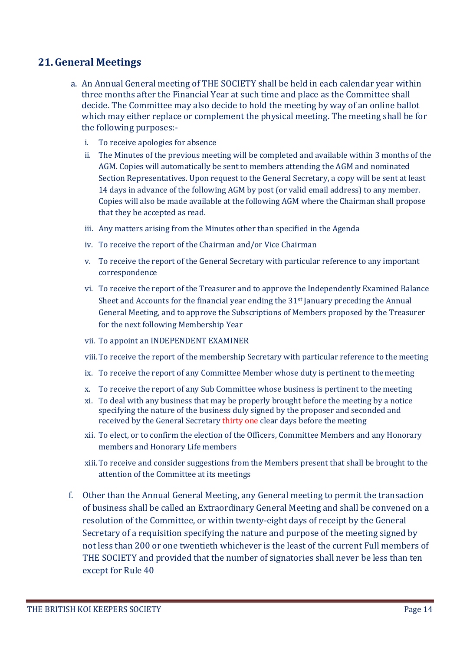#### <span id="page-13-0"></span>**21.General Meetings**

- a. An Annual General meeting of THE SOCIETY shall be held in each calendar year within three months after the Financial Year at such time and place as the Committee shall decide. The Committee may also decide to hold the meeting by way of an online ballot which may either replace or complement the physical meeting. The meeting shall be for the following purposes:
	- i. To receive apologies for absence
	- ii. The Minutes of the previous meeting will be completed and available within 3 months of the AGM. Copies will automatically be sent to members attending the AGM and nominated Section Representatives. Upon request to the General Secretary, a copy will be sent at least 14 days in advance of the following AGM by post (or valid email address) to any member. Copies will also be made available at the following AGM where the Chairman shall propose that they be accepted as read.
	- iii. Any matters arising from the Minutes other than specified in the Agenda
	- iv. To receive the report of the Chairman and/or Vice Chairman
	- v. To receive the report of the General Secretary with particular reference to any important correspondence
	- vi. To receive the report of the Treasurer and to approve the Independently Examined Balance Sheet and Accounts for the financial year ending the  $31<sup>st</sup>$  January preceding the Annual General Meeting, and to approve the Subscriptions of Members proposed by the Treasurer for the next following Membership Year
	- vii. To appoint an INDEPENDENT EXAMINER
	- viii.To receive the report of the membership Secretary with particular reference to the meeting
	- ix. To receive the report of any Committee Member whose duty is pertinent to the meeting
	- x. To receive the report of any Sub Committee whose business is pertinent to themeeting
	- xi. To deal with any business that may be properly brought before the meeting by a notice specifying the nature of the business duly signed by the proposer and seconded and received by the General Secretary thirty one clear days before the meeting
	- xii. To elect, or to confirm the election of the Officers, Committee Members and any Honorary members and Honorary Life members
	- xiii.To receive and consider suggestions from the Members present that shall be brought to the attention of the Committee at its meetings
- f. Other than the Annual General Meeting, any General meeting to permit the transaction of business shall be called an Extraordinary General Meeting and shall be convened on a resolution of the Committee, or within twenty-eight days of receipt by the General Secretary of a requisition specifying the nature and purpose of the meeting signed by not less than 200 or one twentieth whichever is the least of the current Full members of THE SOCIETY and provided that the number of signatories shall never be less than ten except for Rule 40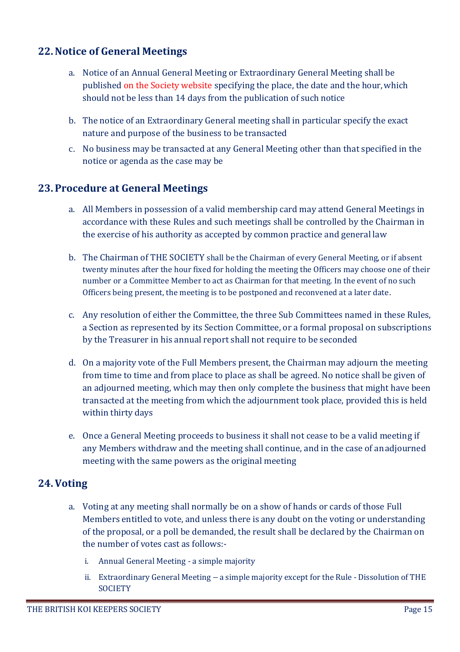#### <span id="page-14-0"></span>**22.Notice of General Meetings**

- a. Notice of an Annual General Meeting or Extraordinary General Meeting shall be published on the Society website specifying the place, the date and the hour,which should not be less than 14 days from the publication of such notice
- b. The notice of an Extraordinary General meeting shall in particular specify the exact nature and purpose of the business to be transacted
- c. No business may be transacted at any General Meeting other than that specified in the notice or agenda as the case may be

#### <span id="page-14-1"></span>**23. Procedure at General Meetings**

- a. All Members in possession of a valid membership card may attend General Meetings in accordance with these Rules and such meetings shall be controlled by the Chairman in the exercise of his authority as accepted by common practice and general law
- b. The Chairman of THE SOCIETY shall be the Chairman of every General Meeting, or if absent twenty minutes after the hour fixed for holding the meeting the Officers may choose one of their number or a Committee Member to act as Chairman for that meeting. In the event of no such Officers being present, the meeting is to be postponed and reconvened at a later date.
- c. Any resolution of either the Committee, the three Sub Committees named in these Rules, a Section as represented by its Section Committee, or a formal proposal on subscriptions by the Treasurer in his annual report shall not require to be seconded
- d. On a majority vote of the Full Members present, the Chairman may adjourn the meeting from time to time and from place to place as shall be agreed. No notice shall be given of an adjourned meeting, which may then only complete the business that might have been transacted at the meeting from which the adjournment took place, provided this is held within thirty days
- e. Once a General Meeting proceeds to business it shall not cease to be a valid meeting if any Members withdraw and the meeting shall continue, and in the case of anadjourned meeting with the same powers as the original meeting

#### <span id="page-14-2"></span>**24.Voting**

- a. Voting at any meeting shall normally be on a show of hands or cards of those Full Members entitled to vote, and unless there is any doubt on the voting or understanding of the proposal, or a poll be demanded, the result shall be declared by the Chairman on the number of votes cast as follows:
	- i. Annual General Meeting a simple majority
	- ii. Extraordinary General Meeting a simple majority except for the Rule Dissolution of THE **SOCIETY**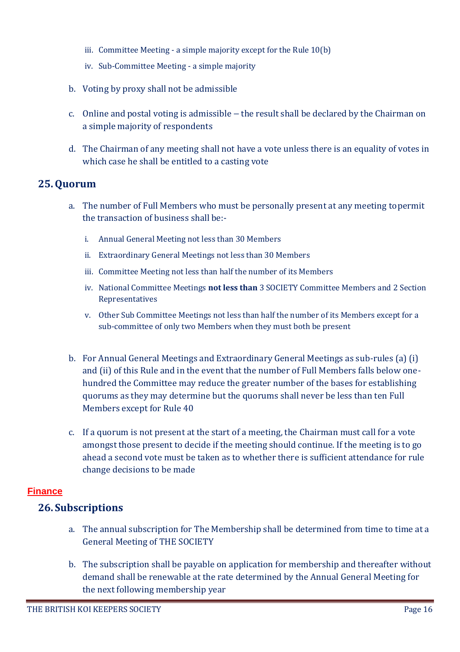- iii. Committee Meeting a simple majority except for the Rule 10(b)
- iv. Sub-Committee Meeting a simple majority
- b. Voting by proxy shall not be admissible
- c. Online and postal voting is admissible the result shall be declared by the Chairman on a simple majority of respondents
- d. The Chairman of any meeting shall not have a vote unless there is an equality of votes in which case he shall be entitled to a casting vote

#### <span id="page-15-0"></span>**25.Quorum**

- a. The number of Full Members who must be personally present at any meeting topermit the transaction of business shall be:
	- i. Annual General Meeting not less than 30 Members
	- ii. Extraordinary General Meetings not less than 30 Members
	- iii. Committee Meeting not less than half the number of its Members
	- iv. National Committee Meetings **not less than** 3 SOCIETY Committee Members and 2 Section Representatives
	- v. Other Sub Committee Meetings not less than half the number of its Members except for a sub-committee of only two Members when they must both be present
- b. For Annual General Meetings and Extraordinary General Meetings as sub-rules (a) (i) and (ii) of this Rule and in the event that the number of Full Members falls below onehundred the Committee may reduce the greater number of the bases for establishing quorums as they may determine but the quorums shall never be less than ten Full Members except for Rule 40
- c. If a quorum is not present at the start of a meeting, the Chairman must call for a vote amongst those present to decide if the meeting should continue. If the meeting is to go ahead a second vote must be taken as to whether there is sufficient attendance for rule change decisions to be made

#### <span id="page-15-2"></span><span id="page-15-1"></span>**Finance**

#### **26. Subscriptions**

- a. The annual subscription for The Membership shall be determined from time to time at a General Meeting of THE SOCIETY
- b. The subscription shall be payable on application for membership and thereafter without demand shall be renewable at the rate determined by the Annual General Meeting for the next following membership year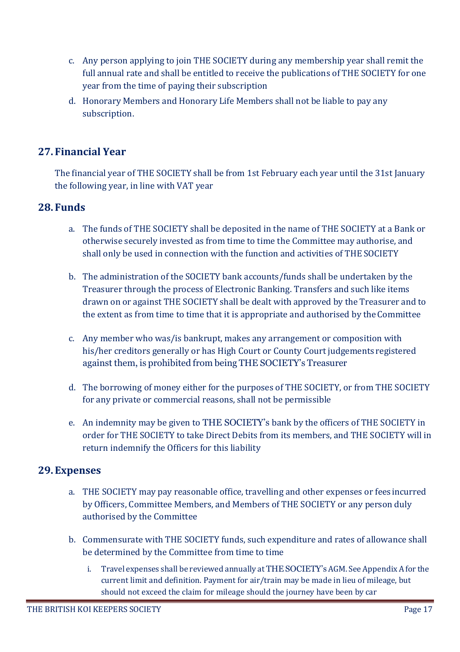- c. Any person applying to join THE SOCIETY during any membership year shall remit the full annual rate and shall be entitled to receive the publications of THE SOCIETY for one year from the time of paying their subscription
- d. Honorary Members and Honorary Life Members shall not be liable to pay any subscription.

## <span id="page-16-0"></span>**27. Financial Year**

The financial year of THE SOCIETY shall be from 1st February each year until the 31st January the following year, in line with VAT year

#### <span id="page-16-1"></span>**28. Funds**

- a. The funds of THE SOCIETY shall be deposited in the name of THE SOCIETY at a Bank or otherwise securely invested as from time to time the Committee may authorise, and shall only be used in connection with the function and activities of THE SOCIETY
- b. The administration of the SOCIETY bank accounts/funds shall be undertaken by the Treasurer through the process of Electronic Banking. Transfers and such like items drawn on or against THE SOCIETY shall be dealt with approved by the Treasurer and to the extent as from time to time that it is appropriate and authorised by theCommittee
- c. Any member who was/is bankrupt, makes any arrangement or composition with his/her creditors generally or has High Court or County Court judgements registered against them, is prohibited from being THE SOCIETY's Treasurer
- d. The borrowing of money either for the purposes of THE SOCIETY, or from THE SOCIETY for any private or commercial reasons, shall not be permissible
- e. An indemnity may be given to THE SOCIETY's bank by the officers of THE SOCIETY in order for THE SOCIETY to take Direct Debits from its members, and THE SOCIETY will in return indemnify the Officers for this liability

#### <span id="page-16-2"></span>**29. Expenses**

- a. THE SOCIETY may pay reasonable office, travelling and other expenses or feesincurred by Officers, Committee Members, and Members of THE SOCIETY or any person duly authorised by the Committee
- b. Commensurate with THE SOCIETY funds, such expenditure and rates of allowance shall be determined by the Committee from time to time
	- i. Travel expenses shall be reviewed annually at THE SOCIETY's AGM. See Appendix A for the current limit and definition. Payment for air/train may be made in lieu of mileage, but should not exceed the claim for mileage should the journey have been by car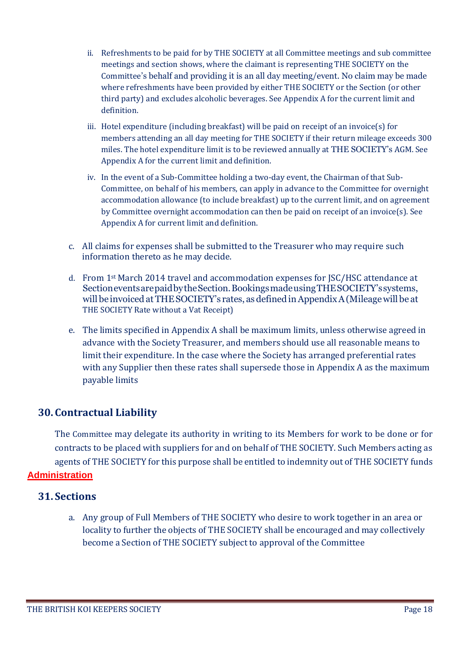- ii. Refreshments to be paid for by THE SOCIETY at all Committee meetings and sub committee meetings and section shows, where the claimant is representing THE SOCIETY on the Committee's behalf and providing it is an all day meeting/event. No claim may be made where refreshments have been provided by either THE SOCIETY or the Section (or other third party) and excludes alcoholic beverages. See Appendix A for the current limit and definition.
- iii. Hotel expenditure (including breakfast) will be paid on receipt of an invoice(s) for members attending an all day meeting for THE SOCIETY if their return mileage exceeds 300 miles. The hotel expenditure limit is to be reviewed annually at THE SOCIETY's AGM. See Appendix A for the current limit and definition.
- iv. In the event of a Sub-Committee holding a two-day event, the Chairman of that Sub-Committee, on behalf of his members, can apply in advance to the Committee for overnight accommodation allowance (to include breakfast) up to the current limit, and on agreement by Committee overnight accommodation can then be paid on receipt of an invoice(s). See Appendix A for current limit and definition.
- c. All claims for expenses shall be submitted to the Treasurer who may require such information thereto as he may decide.
- d. From 1st March 2014 travel and accommodation expenses for JSC/HSC attendance at SectioneventsarepaidbytheSection.BookingsmadeusingTHESOCIETY'ssystems, will be invoiced at THESOCIETY's rates, as defined inAppendixA(Mileagewill be at THE SOCIETY Rate without a Vat Receipt)
- e. The limits specified in Appendix A shall be maximum limits, unless otherwise agreed in advance with the Society Treasurer, and members should use all reasonable means to limit their expenditure. In the case where the Society has arranged preferential rates with any Supplier then these rates shall supersede those in Appendix A as the maximum payable limits

## <span id="page-17-0"></span>**30. Contractual Liability**

The Committee may delegate its authority in writing to its Members for work to be done or for contracts to be placed with suppliers for and on behalf of THE SOCIETY. Such Members acting as agents of THE SOCIETY for this purpose shall be entitled to indemnity out of THE SOCIETY funds

#### <span id="page-17-1"></span>**Administration**

#### <span id="page-17-2"></span>**31. Sections**

a. Any group of Full Members of THE SOCIETY who desire to work together in an area or locality to further the objects of THE SOCIETY shall be encouraged and may collectively become a Section of THE SOCIETY subject to approval of the Committee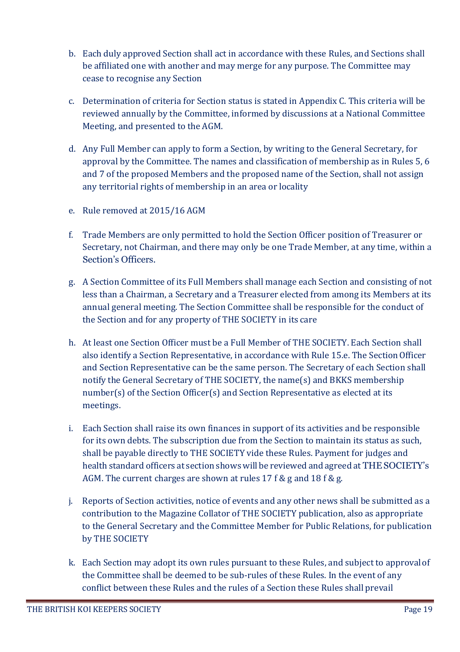- b. Each duly approved Section shall act in accordance with these Rules, and Sections shall be affiliated one with another and may merge for any purpose. The Committee may cease to recognise any Section
- c. Determination of criteria for Section status is stated in Appendix C. This criteria will be reviewed annually by the Committee, informed by discussions at a National Committee Meeting, and presented to the AGM.
- d. Any Full Member can apply to form a Section, by writing to the General Secretary, for approval by the Committee. The names and classification of membership as in Rules 5, 6 and 7 of the proposed Members and the proposed name of the Section, shall not assign any territorial rights of membership in an area or locality
- e. Rule removed at 2015/16 AGM
- f. Trade Members are only permitted to hold the Section Officer position of Treasurer or Secretary, not Chairman, and there may only be one Trade Member, at any time, within a Section's Officers.
- g. A Section Committee of its Full Members shall manage each Section and consisting of not less than a Chairman, a Secretary and a Treasurer elected from among its Members at its annual general meeting. The Section Committee shall be responsible for the conduct of the Section and for any property of THE SOCIETY in its care
- h. At least one Section Officer must be a Full Member of THE SOCIETY. Each Section shall also identify a Section Representative, in accordance with Rule 15.e. The SectionOfficer and Section Representative can be the same person. The Secretary of each Section shall notify the General Secretary of THE SOCIETY, the name(s) and BKKS membership number(s) of the Section Officer(s) and Section Representative as elected at its meetings.
- i. Each Section shall raise its own finances in support of its activities and be responsible for its own debts. The subscription due from the Section to maintain its status as such, shall be payable directly to THE SOCIETY vide these Rules. Payment for judges and health standard officers at section shows will be reviewed and agreed at THESOCIETY's AGM. The current charges are shown at rules 17 f & g and 18 f & g.
- j. Reports of Section activities, notice of events and any other news shall be submitted as a contribution to the Magazine Collator of THE SOCIETY publication, also as appropriate to the General Secretary and the Committee Member for Public Relations, for publication by THE SOCIETY
- k. Each Section may adopt its own rules pursuant to these Rules, and subject to approvalof the Committee shall be deemed to be sub-rules of these Rules. In the event of any conflict between these Rules and the rules of a Section these Rules shall prevail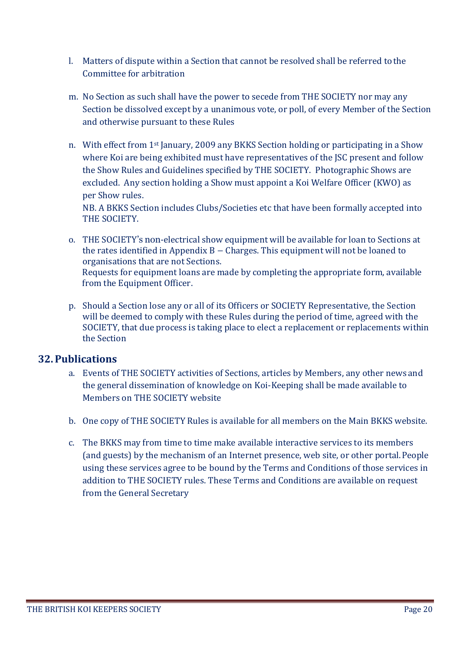- l. Matters of dispute within a Section that cannot be resolved shall be referred tothe Committee for arbitration
- m. No Section as such shall have the power to secede from THE SOCIETY nor may any Section be dissolved except by a unanimous vote, or poll, of every Member of the Section and otherwise pursuant to these Rules
- n. With effect from 1st January, 2009 any BKKS Section holding or participating in a Show where Koi are being exhibited must have representatives of the JSC present and follow the Show Rules and Guidelines specified by THE SOCIETY. Photographic Shows are excluded. Any section holding a Show must appoint a Koi Welfare Officer (KWO) as per Show rules.

NB. A BKKS Section includes Clubs/Societies etc that have been formally accepted into THE SOCIETY.

- o. THE SOCIETY's non-electrical show equipment will be available for loan to Sections at the rates identified in Appendix  $B -$ Charges. This equipment will not be loaned to organisations that are not Sections. Requests for equipment loans are made by completing the appropriate form, available from the Equipment Officer.
- p. Should a Section lose any or all of its Officers or SOCIETY Representative, the Section will be deemed to comply with these Rules during the period of time, agreed with the SOCIETY, that due process is taking place to elect a replacement or replacements within the Section

#### <span id="page-19-0"></span>**32. Publications**

- a. Events of THE SOCIETY activities of Sections, articles by Members, any other news and the general dissemination of knowledge on Koi-Keeping shall be made available to Members on THE SOCIETY website
- b. One copy of THE SOCIETY Rules is available for all members on the Main BKKS website.
- c. The BKKS may from time to time make available interactive services to its members (and guests) by the mechanism of an Internet presence, web site, or other portal.People using these services agree to be bound by the Terms and Conditions of those services in addition to THE SOCIETY rules. These Terms and Conditions are available on request from the General Secretary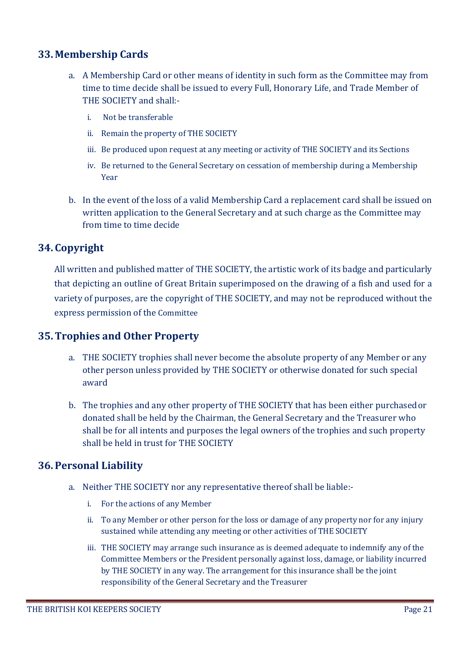#### <span id="page-20-0"></span>**33. Membership Cards**

- a. A Membership Card or other means of identity in such form as the Committee may from time to time decide shall be issued to every Full, Honorary Life, and Trade Member of THE SOCIETY and shall:
	- i. Not be transferable
	- ii. Remain the property of THE SOCIETY
	- iii. Be produced upon request at any meeting or activity of THE SOCIETY and its Sections
	- iv. Be returned to the General Secretary on cessation of membership during a Membership Year
- b. In the event of the loss of a valid Membership Card a replacement card shall be issued on written application to the General Secretary and at such charge as the Committee may from time to time decide

## <span id="page-20-1"></span>**34. Copyright**

All written and published matter of THE SOCIETY, the artistic work of its badge and particularly that depicting an outline of Great Britain superimposed on the drawing of a fish and used for a variety of purposes, are the copyright of THE SOCIETY, and may not be reproduced without the express permission of the Committee

## <span id="page-20-2"></span>**35.Trophies and Other Property**

- a. THE SOCIETY trophies shall never become the absolute property of any Member or any other person unless provided by THE SOCIETY or otherwise donated for such special award
- b. The trophies and any other property of THE SOCIETY that has been either purchasedor donated shall be held by the Chairman, the General Secretary and the Treasurer who shall be for all intents and purposes the legal owners of the trophies and such property shall be held in trust for THE SOCIETY

## <span id="page-20-3"></span>**36. Personal Liability**

- a. Neither THE SOCIETY nor any representative thereof shall be liable:
	- i. For the actions of any Member
	- ii. To any Member or other person for the loss or damage of any property nor for any injury sustained while attending any meeting or other activities of THE SOCIETY
	- iii. THE SOCIETY may arrange such insurance as is deemed adequate to indemnify any of the Committee Members or the President personally against loss, damage, or liability incurred by THE SOCIETY in any way. The arrangement for this insurance shall be the joint responsibility of the General Secretary and the Treasurer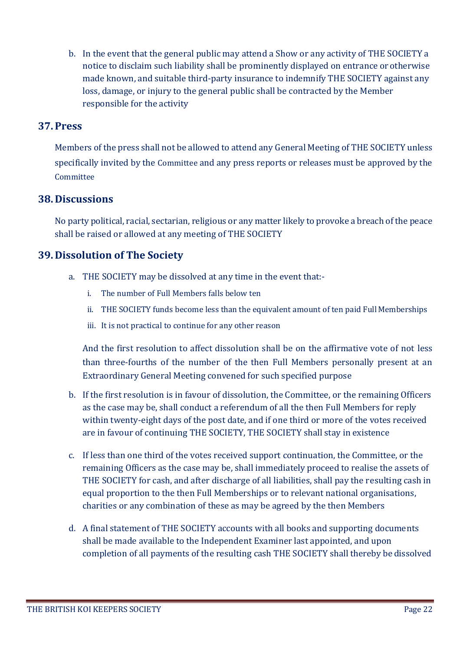b. In the event that the general public may attend a Show or any activity of THE SOCIETY a notice to disclaim such liability shall be prominently displayed on entrance or otherwise made known, and suitable third-party insurance to indemnify THE SOCIETY against any loss, damage, or injury to the general public shall be contracted by the Member responsible for the activity

#### <span id="page-21-0"></span>**37. Press**

Members of the press shall not be allowed to attend any General Meeting of THE SOCIETY unless specifically invited by the Committee and any press reports or releases must be approved by the **Committee** 

#### <span id="page-21-1"></span>**38. Discussions**

No party political, racial, sectarian, religious or any matter likely to provoke a breach of the peace shall be raised or allowed at any meeting of THE SOCIETY

#### <span id="page-21-2"></span>**39. Dissolution of The Society**

- a. THE SOCIETY may be dissolved at any time in the event that:
	- i. The number of Full Members falls below ten
	- ii. THE SOCIETY funds become less than the equivalent amount of ten paid Full Memberships
	- iii. It is not practical to continue for any other reason

And the first resolution to affect dissolution shall be on the affirmative vote of not less than three-fourths of the number of the then Full Members personally present at an Extraordinary General Meeting convened for such specified purpose

- b. If the first resolution is in favour of dissolution, the Committee, or the remaining Officers as the case may be, shall conduct a referendum of all the then Full Members for reply within twenty-eight days of the post date, and if one third or more of the votes received are in favour of continuing THE SOCIETY, THE SOCIETY shall stay in existence
- c. If less than one third of the votes received support continuation, the Committee, or the remaining Officers as the case may be, shall immediately proceed to realise the assets of THE SOCIETY for cash, and after discharge of all liabilities, shall pay the resulting cash in equal proportion to the then Full Memberships or to relevant national organisations, charities or any combination of these as may be agreed by the then Members
- d. A final statement of THE SOCIETY accounts with all books and supporting documents shall be made available to the Independent Examiner last appointed, and upon completion of all payments of the resulting cash THE SOCIETY shall thereby be dissolved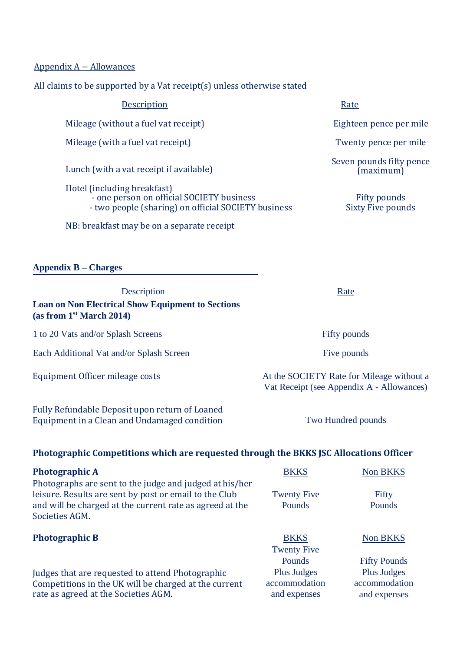Appendix A – Allowances

All claims to be supported by a Vat receipt(s) unless otherwise stated

| Description                                                                                                                     | Rate                                         |
|---------------------------------------------------------------------------------------------------------------------------------|----------------------------------------------|
| Mileage (without a fuel vat receipt)                                                                                            | Eighteen pence per n                         |
| Mileage (with a fuel vat receipt)                                                                                               | Twenty pence per m                           |
| Lunch (with a vat receipt if available)                                                                                         | Seven pounds fifty pe<br>$\hat{m}$ (maximum) |
| Hotel (including breakfast)<br>- one person on official SOCIETY business<br>- two people (sharing) on official SOCIETY business | Fifty pounds<br><b>Sixty Five pounds</b>     |
| NB: breakfast may be on a separate receipt                                                                                      |                                              |

**Appendix B – Charges**

Description Rate **Loan on Non Electrical Show Equipment to Sections (as from 1st March 2014)**

1 to 20 Vats and/or Splash Screens Fifty pounds

Each Additional Vat and/or Splash Screen Five pounds

Fully Refundable Deposit upon return of Loaned Equipment in a Clean and Undamaged condition Two Hundred pounds

nce per mile

ce per mile

Is fifty pence  $m$ um $\tilde{ }$ 

Equipment Officer mileage costs At the SOCIETY Rate for Mileage without a Vat Receipt (see Appendix A - Allowances)

#### **Photographic Competitions which are requested through the BKKS JSC Allocations Officer**

| <b>Photographic A</b>                                    | <b>BKKS</b>        | Non BKKS            |
|----------------------------------------------------------|--------------------|---------------------|
| Photographs are sent to the judge and judged at his/her  |                    |                     |
| leisure. Results are sent by post or email to the Club   | <b>Twenty Five</b> | Fifty               |
| and will be charged at the current rate as agreed at the | Pounds             | Pounds              |
| Societies AGM.                                           |                    |                     |
|                                                          |                    |                     |
| <b>Photographic B</b>                                    | <b>BKKS</b>        | Non BKKS            |
|                                                          | <b>Twenty Five</b> |                     |
|                                                          | Pounds             | <b>Fifty Pounds</b> |
| Judges that are requested to attend Photographic         | Plus Judges        | Plus Judges         |
| Competitions in the UK will be charged at the current    | accommodation      | accommodation       |
| rate as agreed at the Societies AGM.                     | and expenses       | and expenses        |